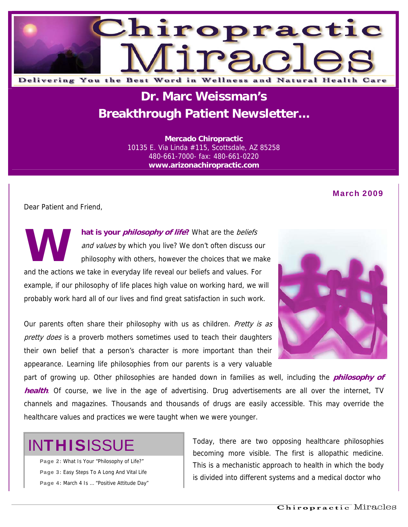

### **Dr. Marc Weissman's Breakthrough Patient Newsletter...**

**Mercado Chiropractic**  10135 E. Via Linda #115, Scottsdale, AZ 85258 480-661-7000- fax: 480-661-0220 **www.arizonachiropractic.com**

#### March 2009

Dear Patient and Friend,

**hat is your philosophy of life?** What are the beliefs and values by which you live? We don't often discuss our philosophy with others, however the choices that we make and the actions we take in everyday life reveal our beliefs and values. For example, if our philosophy of life places high value on working hard, we will probably work hard all of our lives and find great satisfaction in such work. **W**

Our parents often share their philosophy with us as children. Pretty is as pretty does is a proverb mothers sometimes used to teach their daughters their own belief that a person's character is more important than their appearance. Learning life philosophies from our parents is a very valuable



part of growing up. Other philosophies are handed down in families as well, including the **philosophy of health**. Of course, we live in the age of advertising. Drug advertisements are all over the internet, TV channels and magazines. Thousands and thousands of drugs are easily accessible. This may override the healthcare values and practices we were taught when we were younger.

# **INTHISISSUE**

Page 2: What Is Your "Philosophy of Life?" Page 3: Easy Steps To A Long And Vital Life Page 4: March 4 Is … "Positive Attitude Day" Today, there are two opposing healthcare philosophies becoming more visible. The first is allopathic medicine. This is a mechanistic approach to health in which the body is divided into different systems and a medical doctor who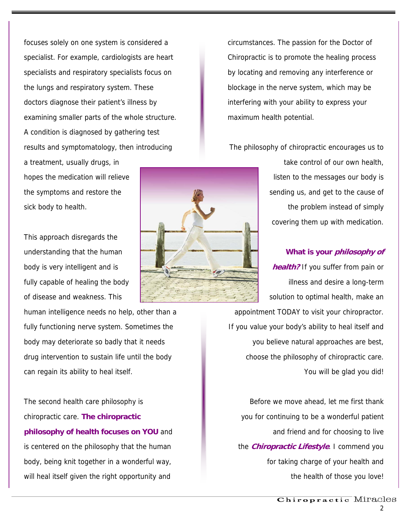focuses solely on one system is considered a specialist. For example, cardiologists are heart specialists and respiratory specialists focus on the lungs and respiratory system. These doctors diagnose their patient's illness by examining smaller parts of the whole structure. A condition is diagnosed by gathering test results and symptomatology, then introducing a treatment, usually drugs, in

hopes the medication will relieve the symptoms and restore the sick body to health.

This approach disregards the understanding that the human body is very intelligent and is fully capable of healing the body of disease and weakness. This

human intelligence needs no help, other than a fully functioning nerve system. Sometimes the body may deteriorate so badly that it needs drug intervention to sustain life until the body can regain its ability to heal itself.

The second health care philosophy is chiropractic care. **The chiropractic philosophy of health focuses on YOU** and is centered on the philosophy that the human body, being knit together in a wonderful way, will heal itself given the right opportunity and



circumstances. The passion for the Doctor of Chiropractic is to promote the healing process by locating and removing any interference or blockage in the nerve system, which may be interfering with your ability to express your maximum health potential.

The philosophy of chiropractic encourages us to

take control of our own health, listen to the messages our body is sending us, and get to the cause of the problem instead of simply covering them up with medication.

#### **What is your philosophy of**

**health?** If you suffer from pain or illness and desire a long-term solution to optimal health, make an appointment TODAY to visit your chiropractor. If you value your body's ability to heal itself and you believe natural approaches are best, choose the philosophy of chiropractic care. You will be glad you did!

Before we move ahead, let me first thank you for continuing to be a wonderful patient and friend and for choosing to live the **Chiropractic Lifestyle**. I commend you for taking charge of your health and the health of those you love!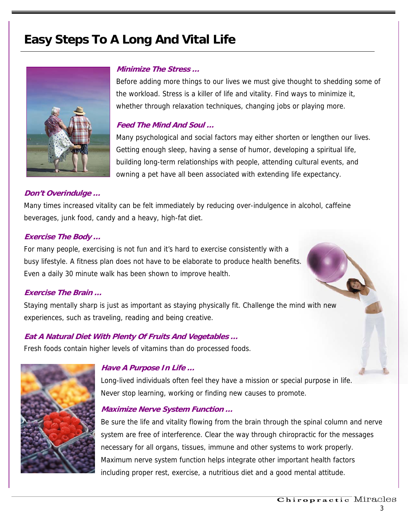### **Easy Steps To A Long And Vital Life**



#### **Minimize The Stress …**

Before adding more things to our lives we must give thought to shedding some of the workload. Stress is a killer of life and vitality. Find ways to minimize it, whether through relaxation techniques, changing jobs or playing more.

#### **Feed The Mind And Soul …**

Many psychological and social factors may either shorten or lengthen our lives. Getting enough sleep, having a sense of humor, developing a spiritual life, building long-term relationships with people, attending cultural events, and owning a pet have all been associated with extending life expectancy.

#### **Don't Overindulge …**

Many times increased vitality can be felt immediately by reducing over-indulgence in alcohol, caffeine beverages, junk food, candy and a heavy, high-fat diet.

#### **Exercise The Body …**

For many people, exercising is not fun and it's hard to exercise consistently with a busy lifestyle. A fitness plan does not have to be elaborate to produce health benefits. Even a daily 30 minute walk has been shown to improve health.

#### **Exercise The Brain …**

Staying mentally sharp is just as important as staying physically fit. Challenge the mind with new experiences, such as traveling, reading and being creative.

#### **Eat A Natural Diet With Plenty Of Fruits And Vegetables …**

Fresh foods contain higher levels of vitamins than do processed foods.



#### **Have A Purpose In Life …**

Long-lived individuals often feel they have a mission or special purpose in life. Never stop learning, working or finding new causes to promote.

#### **Maximize Nerve System Function …**

Be sure the life and vitality flowing from the brain through the spinal column and nerve system are free of interference. Clear the way through chiropractic for the messages necessary for all organs, tissues, immune and other systems to work properly. Maximum nerve system function helps integrate other important health factors including proper rest, exercise, a nutritious diet and a good mental attitude.